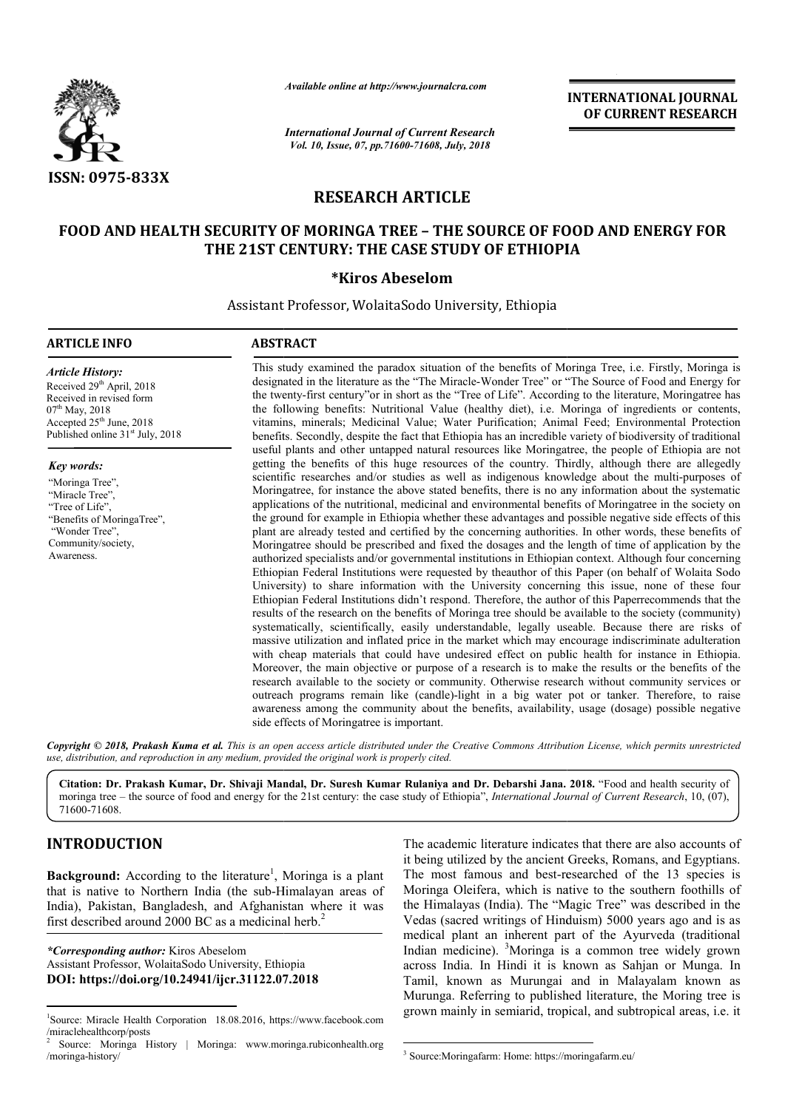

*Available online at http://www.journalcra.com*

*International Journal of Current Research Vol. 10, Issue, 07, pp.71600-71608, July, 2018*

**INTERNATIONAL JOURNAL OF CURRENT RESEARCH**

# **RESEARCH ARTICLE**

# **FOOD AND HEALTH SECURITY OF MORINGA TREE – THE SOURCE OF FOOD AND ENERGY FOR THE 21ST CENTURY: THE CASE STUDY OF ETHIOPIA CENTURY:**

#### **\*Kiros Abeselom**

Assistant Professor, WolaitaSodo University, Ethiopia

#### **ARTICLE INFO ABSTRACT**

*Article History:* Received 29<sup>th</sup> April, 2018 Received in revised form 07<sup>th</sup> May, 2018 Accepted 25<sup>th</sup> June, 2018 Published online 31<sup>st</sup> July, 2018

*Key words:*

"Moringa Tree", "Miracle Tree", "Tree of Life" "Benefits of MoringaTree", "Wonder Tree", Community/society, Awareness.

This study examined the paradox situation of the benefits of Moringa Tree, i.e. Firstly, Moringa is designated in the literature as the "The Miracle-Wonder Tree" or "The Source of Food and Energy for designated in the literature as the "The Miracle-Wonder Tree" or "The Source of Food and Energy for<br>the twenty-first century"or in short as the "Tree of Life". According to the literature, Moringatree has the following benefits: Nutritional Value (healthy diet), i.e. Moringa of ingredients or contents, vitamins, minerals; Medicinal Value; Water Purification; Animal Feed; Environmental Protection benefits. Secondly, despite the fact that Ethiopia has an incredible variety of biodiversity of traditional useful plants and other untapped natural resources like Moringatree, the people of Ethiopia are not getting the benefits of this huge resources of the country. Thirdly, although there are allegedly scientific researches and/or studies as well as indigenous knowledge about the multi-purposes of Moringatree, for instance the above stated benefits, there is no any information about the systematic applications of the nutritional, medicinal and environmental benefits of Moringatree in the society on the ground for example in Ethiopia whether these advantages and possible negative side effects of this plant are already tested and certified by the concerning authorities. In other words, these benefits of Moringatree, for instance the above stated benefits, there is no any information about the systematic applications of the nutritional, medicinal and environmental benefits of Moringatree in the society on the ground for ex authorized specialists and/or governmental institutions in Ethiopian context. Although four concerning Ethiopian Federal Institutions were requested by theauthor of this Paper (on behalf of Wolaita Sodo University) to share information with the University concerning this issue, none of these four Ethiopian Federal Institutions didn't respond. Therefore, the author of this Paperrecommends that the Ethiopian Federal Institutions didn't respond. Therefore, the author of this Paperrecommends that the results of the research on the benefits of Moringa tree should be available to the society (community) systematically, scientifically, easily understandable, legally useable. Because there are risks of massive utilization and inflated price in the market which may encourage indiscriminate adulteration with cheap materials that could have undesired effect on public health for instance in Ethiopia. Moreover, the main objective or purpose of a research is to make the results or the benefits of the research available to the society or community. Otherwise research without community services or outreach programs remain like (candle)-light in a big water pot or tanker. awareness among the community about the benefits, availability, usage (dosage) possible negative side effects of Moringatree is important. vitamins, minerals; Medicinal Value; Water Purification; Animal Feed; Environmental Protection<br>benefits. Secondly, despite the fact that Ethiopia has an incredible variety of biodiversity of traditional<br>useful plants and o systematically, scientifically, easily understandable, legally useable. Because there are risks of massive utilization and inflated price in the market which may encourage indiscriminate adulteration with cheap materials t Vedas writings years and of Ayurveda across India. known Malayalam published the mainly https://moringafarm.eu/

Copyright © 2018, Prakash Kuma et al. This is an open access article distributed under the Creative Commons Attribution License, which permits unrestrictea *use, distribution, and reproduction in any medium, provided the original work is properly cited.*

**Citation: Dr. Prakash Kumar, Dr. Shivaji Mandal, Dr. Suresh Kumar Rulaniya and Dr. Debarshi Jana. 2018.** "Food and health security of moringa tree – the source of food and energy for the 21st century: the case study of Ethiopia", *International Journal of Current Research*, 10, (07), 71600-71608.

# **INTRODUCTION**

Background: According to the literature<sup>1</sup>, Moringa is a plant that is native to Northern India (the sub-Himalayan areas of Himalayan India), Pakistan, Bangladesh, and Afghanistan where it was first described around 2000 BC as a medicinal herb.<sup>2</sup>

*\*Corresponding author:* Kiros Abeselom Assistant Professor, WolaitaSodo University, Ethiopia **DOI: https://doi.org/10.24941/ijcr.31122.07.2018**

The academic literature indicates that there are<br>
<sup>1</sup>, Moringa is a plant<br>
The most famous and best-researched of the<br>
-Himalayan areas of<br>
Moringa Oleifera, which is native to the sout<br>
instan where it was<br>
the Himalayas it being utilized by the ancient Greeks, Romans, and Egyptians. The most famous and best-researched of the 13 species is Moringa Oleifera, which is native to the southern foothills of the Himalayas (India). The "Magic Tree" was described Vedas (sacred writings of Hinduism) 5000 years ago and is as medical plant an inherent part of the Ayurveda (traditional Indian medicine). <sup>3</sup> Moringa is a common tree widely grown across India. In Hindi it is known as Sahjan or Munga. In Tamil, known as Murungai and in Malayalam known as Murunga. Referring to published literature, the Moring tree is grown mainly in semiarid, tropical, and subtropical areas, i.e. it The academic literature indicates that there are also accounts of the ancient Greeks, Romans, and Egyptians.<br>and best-researched of the 13 species is<br>which is native to the southern foothills of<br>lia). The "Magic Tree" was described in the

 $\frac{1}{1}$ Source: Miracle Health Corporation 18.08.2016, https://www.facebook.com /miraclehealthcorp/posts

<sup>2</sup> Source: Moringa History | Moringa: www.moringa.rubiconhealth.org /moringa-history/

 <sup>3</sup> Source:Moringafarm: Home: https://moringafarm.eu/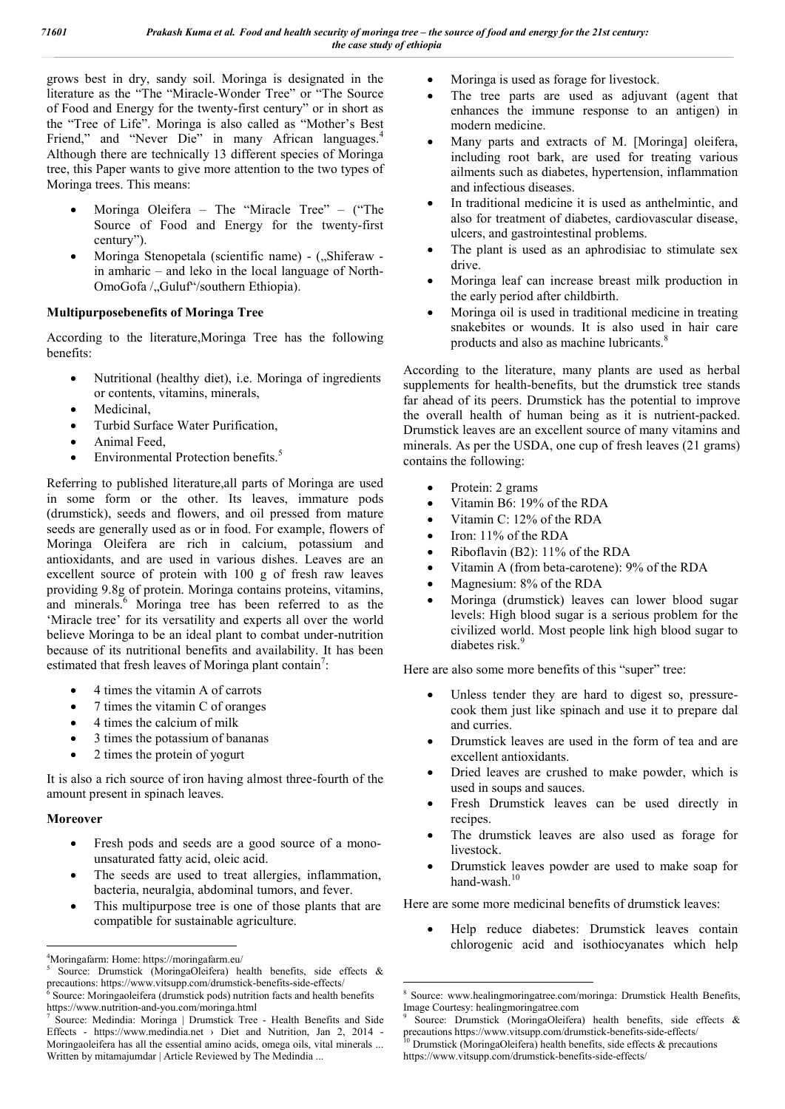grows best in dry, sandy soil. Moringa is designated in the literature as the "The "Miracle-Wonder Tree" or "The Source of Food and Energy for the twenty-first century" or in short as the "Tree of Life". Moringa is also called as "Mother's Best Friend," and "Never Die" in many African languages.<sup>4</sup> Although there are technically 13 different species of Moringa tree, this Paper wants to give more attention to the two types of Moringa trees. This means:

- Moringa Oleifera The "Miracle Tree" ("The Source of Food and Energy for the twenty-first century").
- Moringa Stenopetala (scientific name) ("Shiferaw in amharic – and leko in the local language of North-OmoGofa / Guluf"/southern Ethiopia).

# **Multipurposebenefits of Moringa Tree**

According to the literature,Moringa Tree has the following benefits:

- Nutritional (healthy diet), i.e. Moringa of ingredients or contents, vitamins, minerals,
- Medicinal,
- Turbid Surface Water Purification,
- Animal Feed,
- Environmental Protection benefits.<sup>5</sup>

Referring to published literature,all parts of Moringa are used in some form or the other. Its leaves, immature pods (drumstick), seeds and flowers, and oil pressed from mature seeds are generally used as or in food. For example, flowers of Moringa Oleifera are rich in calcium, potassium and antioxidants, and are used in various dishes. Leaves are an excellent source of protein with 100 g of fresh raw leaves providing 9.8g of protein. Moringa contains proteins, vitamins, and minerals.<sup>6</sup> Moringa tree has been referred to as the 'Miracle tree' for its versatility and experts all over the world believe Moringa to be an ideal plant to combat under-nutrition because of its nutritional benefits and availability. It has been estimated that fresh leaves of Moringa plant contain<sup>7</sup>:

- 4 times the vitamin A of carrots
- 7 times the vitamin C of oranges
- 4 times the calcium of milk
- 3 times the potassium of bananas
- 2 times the protein of yogurt

It is also a rich source of iron having almost three-fourth of the amount present in spinach leaves.

# **Moreover**

- Fresh pods and seeds are a good source of a monounsaturated fatty acid, oleic acid.
- The seeds are used to treat allergies, inflammation, bacteria, neuralgia, abdominal tumors, and fever.
- This multipurpose tree is one of those plants that are compatible for sustainable agriculture.
- Moringa is used as forage for livestock.
- The tree parts are used as adjuvant (agent that enhances the immune response to an antigen) in modern medicine.
- Many parts and extracts of M. [Moringa] oleifera, including root bark, are used for treating various ailments such as diabetes, hypertension, inflammation and infectious diseases.
- In traditional medicine it is used as anthelmintic, and also for treatment of diabetes, cardiovascular disease, ulcers, and gastrointestinal problems.
- The plant is used as an aphrodisiac to stimulate sex drive.
- Moringa leaf can increase breast milk production in the early period after childbirth.
- Moringa oil is used in traditional medicine in treating snakebites or wounds. It is also used in hair care products and also as machine lubricants.<sup>8</sup>

According to the literature, many plants are used as herbal supplements for health-benefits, but the drumstick tree stands far ahead of its peers. Drumstick has the potential to improve the overall health of human being as it is nutrient-packed. Drumstick leaves are an excellent source of many vitamins and minerals. As per the USDA, one cup of fresh leaves (21 grams) contains the following:

- Protein: 2 grams
- Vitamin B6: 19% of the RDA
- Vitamin C: 12% of the RDA
- Iron: 11% of the RDA
- Riboflavin (B2): 11% of the RDA
- Vitamin A (from beta-carotene): 9% of the RDA
- Magnesium: 8% of the RDA
- Moringa (drumstick) leaves can lower blood sugar levels: High blood sugar is a serious problem for the civilized world. Most people link high blood sugar to diabetes risk.<sup>9</sup>

Here are also some more benefits of this "super" tree:

- Unless tender they are hard to digest so, pressurecook them just like spinach and use it to prepare dal and curries.
- Drumstick leaves are used in the form of tea and are excellent antioxidants.
- Dried leaves are crushed to make powder, which is used in soups and sauces.
- Fresh Drumstick leaves can be used directly in recipes.
- The drumstick leaves are also used as forage for livestock.
- Drumstick leaves powder are used to make soap for hand-wash. $10$

Here are some more medicinal benefits of drumstick leaves:

 Help reduce diabetes: Drumstick leaves contain chlorogenic acid and isothiocyanates which help

 $\frac{1}{4}$ Moringafarm: Home: https://moringafarm.eu/

<sup>5</sup> Source: Drumstick (MoringaOleifera) health benefits, side effects & precautions: https://www.vitsupp.com/drumstick-benefits-side-effects/<br>  $\frac{6}{5}$ Source: Maria 1.12 <sup>6</sup> Source: Moringaoleifera (drumstick pods) nutrition facts and health benefits

https://www.nutrition-and-you.com/moringa.html<br><sup>7</sup> Source: Medindia: Moringa | Drumstick Tree - Health Benefits and Side

Effects - https://www.medindia.net › Diet and Nutrition, Jan 2, 2014 - Moringaoleifera has all the essential amino acids, omega oils, vital minerals ... Written by mitamajumdar | Article Reviewed by The Medindia ...

 <sup>8</sup> Source: www.healingmoringatree.com/moringa: Drumstick Health Benefits, Image Courtesy: healingmoringatree.com

Source: Drumstick (MoringaOleifera) health benefits, side effects & precautions https://www.vitsupp.com/drumstick-benefits-side-effects/

 $10$  Drumstick (MoringaOleifera) health benefits, side effects  $\&$  precautions https://www.vitsupp.com/drumstick-benefits-side-effects/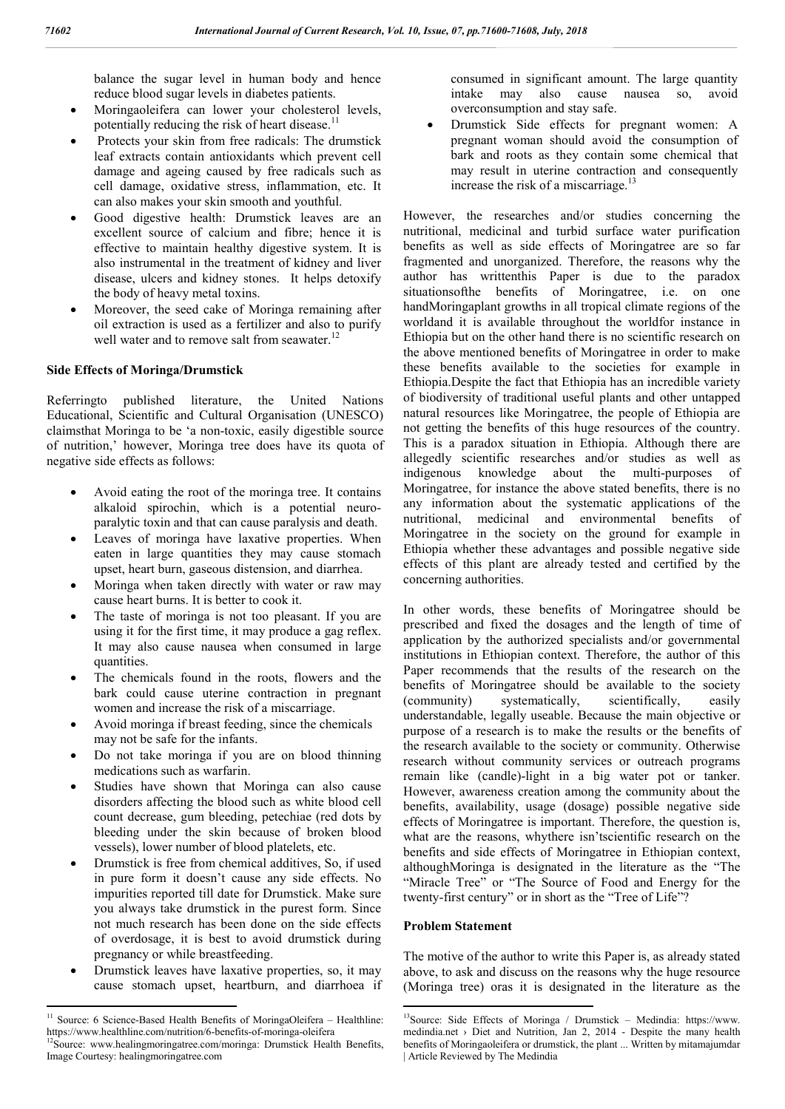balance the sugar level in human body and hence reduce blood sugar levels in diabetes patients.

- Moringaoleifera can lower your cholesterol levels, potentially reducing the risk of heart disease.<sup>11</sup>
- Protects your skin from free radicals: The drumstick leaf extracts contain antioxidants which prevent cell damage and ageing caused by free radicals such as cell damage, oxidative stress, inflammation, etc. It can also makes your skin smooth and youthful.
- Good digestive health: Drumstick leaves are an excellent source of calcium and fibre; hence it is effective to maintain healthy digestive system. It is also instrumental in the treatment of kidney and liver disease, ulcers and kidney stones. It helps detoxify the body of heavy metal toxins.
- Moreover, the seed cake of Moringa remaining after oil extraction is used as a fertilizer and also to purify well water and to remove salt from seawater.<sup>12</sup>

#### **Side Effects of Moringa/Drumstick**

Referringto published literature, the United Nations Educational, Scientific and Cultural Organisation (UNESCO) claimsthat Moringa to be 'a non-toxic, easily digestible source of nutrition,' however, Moringa tree does have its quota of negative side effects as follows:

- Avoid eating the root of the moringa tree. It contains alkaloid spirochin, which is a potential neuroparalytic toxin and that can cause paralysis and death.
- Leaves of moringa have laxative properties. When eaten in large quantities they may cause stomach upset, heart burn, gaseous distension, and diarrhea.
- Moringa when taken directly with water or raw may cause heart burns. It is better to cook it.
- The taste of moringa is not too pleasant. If you are using it for the first time, it may produce a gag reflex. It may also cause nausea when consumed in large quantities.
- The chemicals found in the roots, flowers and the bark could cause uterine contraction in pregnant women and increase the risk of a miscarriage.
- Avoid moringa if breast feeding, since the chemicals may not be safe for the infants.
- Do not take moringa if you are on blood thinning medications such as warfarin.
- Studies have shown that Moringa can also cause disorders affecting the blood such as white blood cell count decrease, gum bleeding, petechiae (red dots by bleeding under the skin because of broken blood vessels), lower number of blood platelets, etc.
- Drumstick is free from chemical additives, So, if used in pure form it doesn't cause any side effects. No impurities reported till date for Drumstick. Make sure you always take drumstick in the purest form. Since not much research has been done on the side effects of overdosage, it is best to avoid drumstick during pregnancy or while breastfeeding.
- Drumstick leaves have laxative properties, so, it may cause stomach upset, heartburn, and diarrhoea if

consumed in significant amount. The large quantity intake may also cause nausea so, avoid overconsumption and stay safe.

 Drumstick Side effects for pregnant women: A pregnant woman should avoid the consumption of bark and roots as they contain some chemical that may result in uterine contraction and consequently increase the risk of a miscarriage. $1$ 

However, the researches and/or studies concerning the nutritional, medicinal and turbid surface water purification benefits as well as side effects of Moringatree are so far fragmented and unorganized. Therefore, the reasons why the author has writtenthis Paper is due to the paradox situationsofthe benefits of Moringatree, i.e. on one handMoringaplant growths in all tropical climate regions of the worldand it is available throughout the worldfor instance in Ethiopia but on the other hand there is no scientific research on the above mentioned benefits of Moringatree in order to make these benefits available to the societies for example in Ethiopia.Despite the fact that Ethiopia has an incredible variety of biodiversity of traditional useful plants and other untapped natural resources like Moringatree, the people of Ethiopia are not getting the benefits of this huge resources of the country. This is a paradox situation in Ethiopia. Although there are allegedly scientific researches and/or studies as well as indigenous knowledge about the multi-purposes of Moringatree, for instance the above stated benefits, there is no any information about the systematic applications of the nutritional, medicinal and environmental benefits of Moringatree in the society on the ground for example in Ethiopia whether these advantages and possible negative side effects of this plant are already tested and certified by the concerning authorities.

In other words, these benefits of Moringatree should be prescribed and fixed the dosages and the length of time of application by the authorized specialists and/or governmental institutions in Ethiopian context. Therefore, the author of this Paper recommends that the results of the research on the benefits of Moringatree should be available to the society (community) systematically, scientifically, easily understandable, legally useable. Because the main objective or purpose of a research is to make the results or the benefits of the research available to the society or community. Otherwise research without community services or outreach programs remain like (candle)-light in a big water pot or tanker. However, awareness creation among the community about the benefits, availability, usage (dosage) possible negative side effects of Moringatree is important. Therefore, the question is, what are the reasons, whythere isn'tscientific research on the benefits and side effects of Moringatree in Ethiopian context, althoughMoringa is designated in the literature as the "The "Miracle Tree" or "The Source of Food and Energy for the twenty-first century" or in short as the "Tree of Life"?

#### **Problem Statement**

The motive of the author to write this Paper is, as already stated above, to ask and discuss on the reasons why the huge resource (Moringa tree) oras it is designated in the literature as the

<sup>&</sup>lt;sup>11</sup> Source: 6 Science-Based Health Benefits of MoringaOleifera – Healthline: https://www.healthline.com/nutrition/6-benefits-of-moringa-oleifera

<sup>&</sup>lt;sup>2</sup>Source: www.healingmoringatree.com/moringa: Drumstick Health Benefits, Image Courtesy: healingmoringatree.com

 $13$ Source: Side Effects of Moringa / Drumstick – Medindia: https://www. medindia.net › Diet and Nutrition, Jan 2, 2014 - Despite the many health benefits of Moringaoleifera or drumstick, the plant ... Written by mitamajumdar | Article Reviewed by The Medindia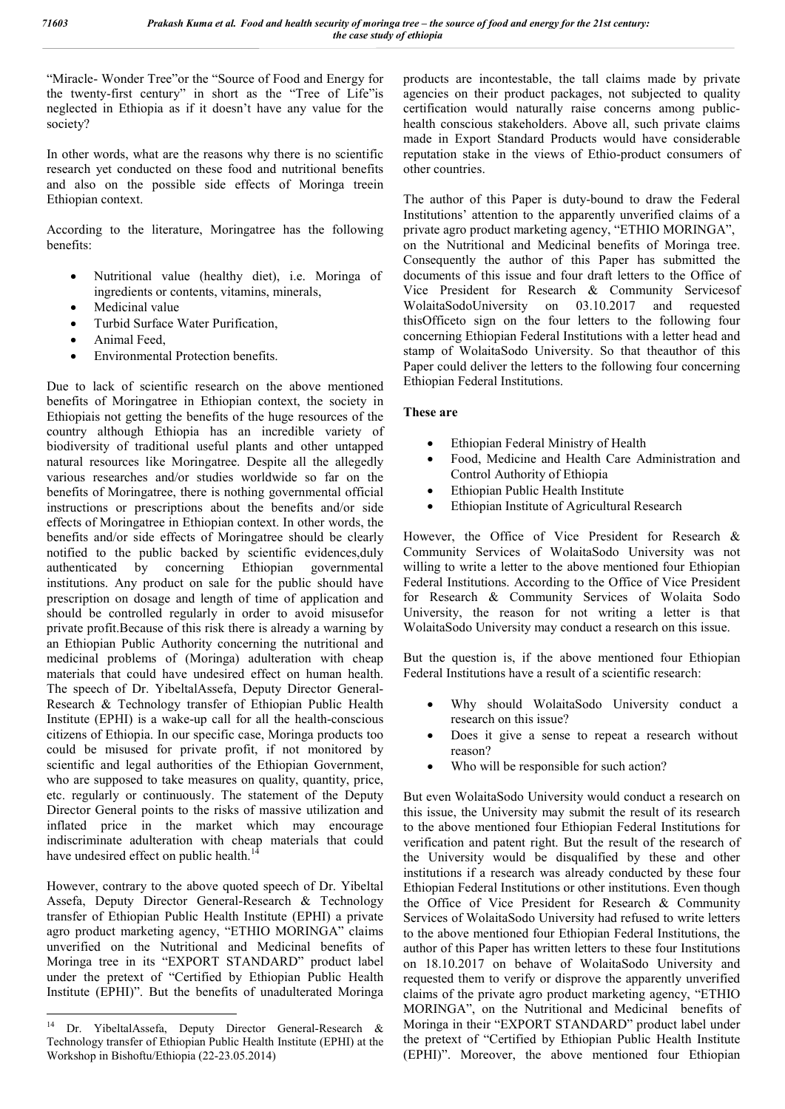"Miracle- Wonder Tree"or the "Source of Food and Energy for the twenty-first century" in short as the "Tree of Life"is neglected in Ethiopia as if it doesn't have any value for the society?

In other words, what are the reasons why there is no scientific research yet conducted on these food and nutritional benefits and also on the possible side effects of Moringa treein Ethiopian context.

According to the literature, Moringatree has the following benefits:

- Nutritional value (healthy diet), i.e. Moringa of ingredients or contents, vitamins, minerals,
- Medicinal value
- Turbid Surface Water Purification,
- Animal Feed,
- Environmental Protection benefits.

Due to lack of scientific research on the above mentioned benefits of Moringatree in Ethiopian context, the society in Ethiopiais not getting the benefits of the huge resources of the country although Ethiopia has an incredible variety of biodiversity of traditional useful plants and other untapped natural resources like Moringatree. Despite all the allegedly various researches and/or studies worldwide so far on the benefits of Moringatree, there is nothing governmental official instructions or prescriptions about the benefits and/or side effects of Moringatree in Ethiopian context. In other words, the benefits and/or side effects of Moringatree should be clearly notified to the public backed by scientific evidences,duly authenticated by concerning Ethiopian governmental institutions. Any product on sale for the public should have prescription on dosage and length of time of application and should be controlled regularly in order to avoid misusefor private profit.Because of this risk there is already a warning by an Ethiopian Public Authority concerning the nutritional and medicinal problems of (Moringa) adulteration with cheap materials that could have undesired effect on human health. The speech of Dr. YibeltalAssefa, Deputy Director General-Research & Technology transfer of Ethiopian Public Health Institute (EPHI) is a wake-up call for all the health-conscious citizens of Ethiopia. In our specific case, Moringa products too could be misused for private profit, if not monitored by scientific and legal authorities of the Ethiopian Government, who are supposed to take measures on quality, quantity, price, etc. regularly or continuously. The statement of the Deputy Director General points to the risks of massive utilization and inflated price in the market which may encourage indiscriminate adulteration with cheap materials that could have undesired effect on public health.<sup>14</sup>

However, contrary to the above quoted speech of Dr. Yibeltal Assefa, Deputy Director General-Research & Technology transfer of Ethiopian Public Health Institute (EPHI) a private agro product marketing agency, "ETHIO MORINGA" claims unverified on the Nutritional and Medicinal benefits of Moringa tree in its "EXPORT STANDARD" product label under the pretext of "Certified by Ethiopian Public Health Institute (EPHI)". But the benefits of unadulterated Moringa

products are incontestable, the tall claims made by private agencies on their product packages, not subjected to quality certification would naturally raise concerns among publichealth conscious stakeholders. Above all, such private claims made in Export Standard Products would have considerable reputation stake in the views of Ethio-product consumers of other countries.

The author of this Paper is duty-bound to draw the Federal Institutions' attention to the apparently unverified claims of a private agro product marketing agency, "ETHIO MORINGA", on the Nutritional and Medicinal benefits of Moringa tree. Consequently the author of this Paper has submitted the documents of this issue and four draft letters to the Office of Vice President for Research & Community Servicesof WolaitaSodoUniversity on 03.10.2017 and requested thisOfficeto sign on the four letters to the following four concerning Ethiopian Federal Institutions with a letter head and stamp of WolaitaSodo University. So that theauthor of this Paper could deliver the letters to the following four concerning Ethiopian Federal Institutions.

# **These are**

- Ethiopian Federal Ministry of Health
- Food, Medicine and Health Care Administration and Control Authority of Ethiopia
- Ethiopian Public Health Institute
- Ethiopian Institute of Agricultural Research

However, the Office of Vice President for Research & Community Services of WolaitaSodo University was not willing to write a letter to the above mentioned four Ethiopian Federal Institutions. According to the Office of Vice President for Research & Community Services of Wolaita Sodo University, the reason for not writing a letter is that WolaitaSodo University may conduct a research on this issue.

But the question is, if the above mentioned four Ethiopian Federal Institutions have a result of a scientific research:

- Why should WolaitaSodo University conduct a research on this issue?
- Does it give a sense to repeat a research without reason?
- Who will be responsible for such action?

But even WolaitaSodo University would conduct a research on this issue, the University may submit the result of its research to the above mentioned four Ethiopian Federal Institutions for verification and patent right. But the result of the research of the University would be disqualified by these and other institutions if a research was already conducted by these four Ethiopian Federal Institutions or other institutions. Even though the Office of Vice President for Research & Community Services of WolaitaSodo University had refused to write letters to the above mentioned four Ethiopian Federal Institutions, the author of this Paper has written letters to these four Institutions on 18.10.2017 on behave of WolaitaSodo University and requested them to verify or disprove the apparently unverified claims of the private agro product marketing agency, "ETHIO MORINGA", on the Nutritional and Medicinal benefits of Moringa in their "EXPORT STANDARD" product label under the pretext of "Certified by Ethiopian Public Health Institute (EPHI)". Moreover, the above mentioned four Ethiopian

 <sup>14</sup> Dr. YibeltalAssefa, Deputy Director General-Research & Technology transfer of Ethiopian Public Health Institute (EPHI) at the Workshop in Bishoftu/Ethiopia (22-23.05.2014)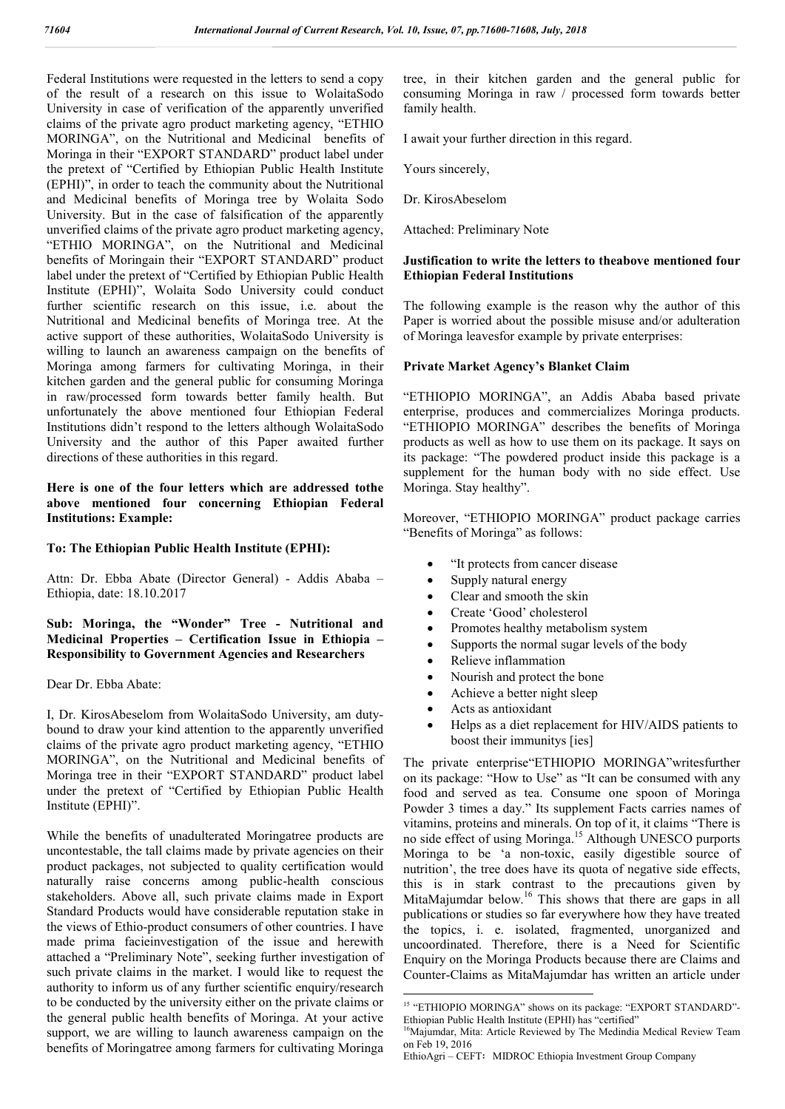Federal Institutions were requested in the letters to send a copy of the result of a research on this issue to WolaitaSodo University in case of verification of the apparently unverified claims of the private agro product marketing agency, "ETHIO MORINGA", on the Nutritional and Medicinal benefits of Moringa in their "EXPORT STANDARD" product label under the pretext of "Certified by Ethiopian Public Health Institute (EPHI)", in order to teach the community about the Nutritional and Medicinal benefits of Moringa tree by Wolaita Sodo University. But in the case of falsification of the apparently unverified claims of the private agro product marketing agency, "ETHIO MORINGA", on the Nutritional and Medicinal benefits of Moringain their "EXPORT STANDARD" product label under the pretext of "Certified by Ethiopian Public Health Institute (EPHI)", Wolaita Sodo University could conduct further scientific research on this issue, i.e. about the Nutritional and Medicinal benefits of Moringa tree. At the active support of these authorities, WolaitaSodo University is willing to launch an awareness campaign on the benefits of Moringa among farmers for cultivating Moringa, in their kitchen garden and the general public for consuming Moringa in raw/processed form towards better family health. But unfortunately the above mentioned four Ethiopian Federal Institutions didn't respond to the letters although WolaitaSodo University and the author of this Paper awaited further directions of these authorities in this regard.

#### **Here is one of the four letters which are addressed tothe above mentioned four concerning Ethiopian Federal Institutions: Example:**

#### **To: The Ethiopian Public Health Institute (EPHI):**

Attn: Dr. Ebba Abate (Director General) - Addis Ababa – Ethiopia, date: 18.10.2017

**Sub: Moringa, the "Wonder" Tree - Nutritional and Medicinal Properties – Certification Issue in Ethiopia – Responsibility to Government Agencies and Researchers** 

Dear Dr. Ebba Abate:

I, Dr. KirosAbeselom from WolaitaSodo University, am dutybound to draw your kind attention to the apparently unverified claims of the private agro product marketing agency, "ETHIO MORINGA", on the Nutritional and Medicinal benefits of Moringa tree in their "EXPORT STANDARD" product label under the pretext of "Certified by Ethiopian Public Health Institute (EPHI)".

While the benefits of unadulterated Moringatree products are uncontestable, the tall claims made by private agencies on their product packages, not subjected to quality certification would naturally raise concerns among public-health conscious stakeholders. Above all, such private claims made in Export Standard Products would have considerable reputation stake in the views of Ethio-product consumers of other countries. I have made prima facieinvestigation of the issue and herewith attached a "Preliminary Note", seeking further investigation of such private claims in the market. I would like to request the authority to inform us of any further scientific enquiry/research to be conducted by the university either on the private claims or the general public health benefits of Moringa. At your active support, we are willing to launch awareness campaign on the benefits of Moringatree among farmers for cultivating Moringa

tree, in their kitchen garden and the general public for consuming Moringa in raw / processed form towards better family health.

I await your further direction in this regard.

Yours sincerely,

Dr. KirosAbeselom

Attached: Preliminary Note

### **Justification to write the letters to theabove mentioned four Ethiopian Federal Institutions**

The following example is the reason why the author of this Paper is worried about the possible misuse and/or adulteration of Moringa leavesfor example by private enterprises:

# **Private Market Agency's Blanket Claim**

"ETHIOPIO MORINGA", an Addis Ababa based private enterprise, produces and commercializes Moringa products. "ETHIOPIO MORINGA" describes the benefits of Moringa products as well as how to use them on its package. It says on its package: "The powdered product inside this package is a supplement for the human body with no side effect. Use Moringa. Stay healthy".

Moreover, "ETHIOPIO MORINGA" product package carries "Benefits of Moringa" as follows:

- "It protects from cancer disease
- Supply natural energy
- Clear and smooth the skin
- Create 'Good' cholesterol
- Promotes healthy metabolism system
- Supports the normal sugar levels of the body
- Relieve inflammation
- Nourish and protect the bone
- Achieve a better night sleep
- Acts as antioxidant
- Helps as a diet replacement for HIV/AIDS patients to boost their immunitys [ies]

The private enterprise"ETHIOPIO MORINGA"writesfurther on its package: "How to Use" as "It can be consumed with any food and served as tea. Consume one spoon of Moringa Powder 3 times a day." Its supplement Facts carries names of vitamins, proteins and minerals. On top of it, it claims "There is no side effect of using Moringa.<sup>15</sup> Although UNESCO purports Moringa to be 'a non-toxic, easily digestible source of nutrition', the tree does have its quota of negative side effects, this is in stark contrast to the precautions given by MitaMajumdar below.<sup>16</sup> This shows that there are gaps in all publications or studies so far everywhere how they have treated the topics, i. e. isolated, fragmented, unorganized and uncoordinated. Therefore, there is a Need for Scientific Enquiry on the Moringa Products because there are Claims and Counter-Claims as MitaMajumdar has written an article under

<sup>&</sup>lt;sup>15</sup> "ETHIOPIO MORINGA" shows on its package: "EXPORT STANDARD"-Ethiopian Public Health Institute (EPHI) has "certified"

<sup>&</sup>lt;sup>16</sup>Majumdar, Mita: Article Reviewed by The Medindia Medical Review Team on Feb 19, 2016

EthioAgri – CEFT፡ MIDROC Ethiopia Investment Group Company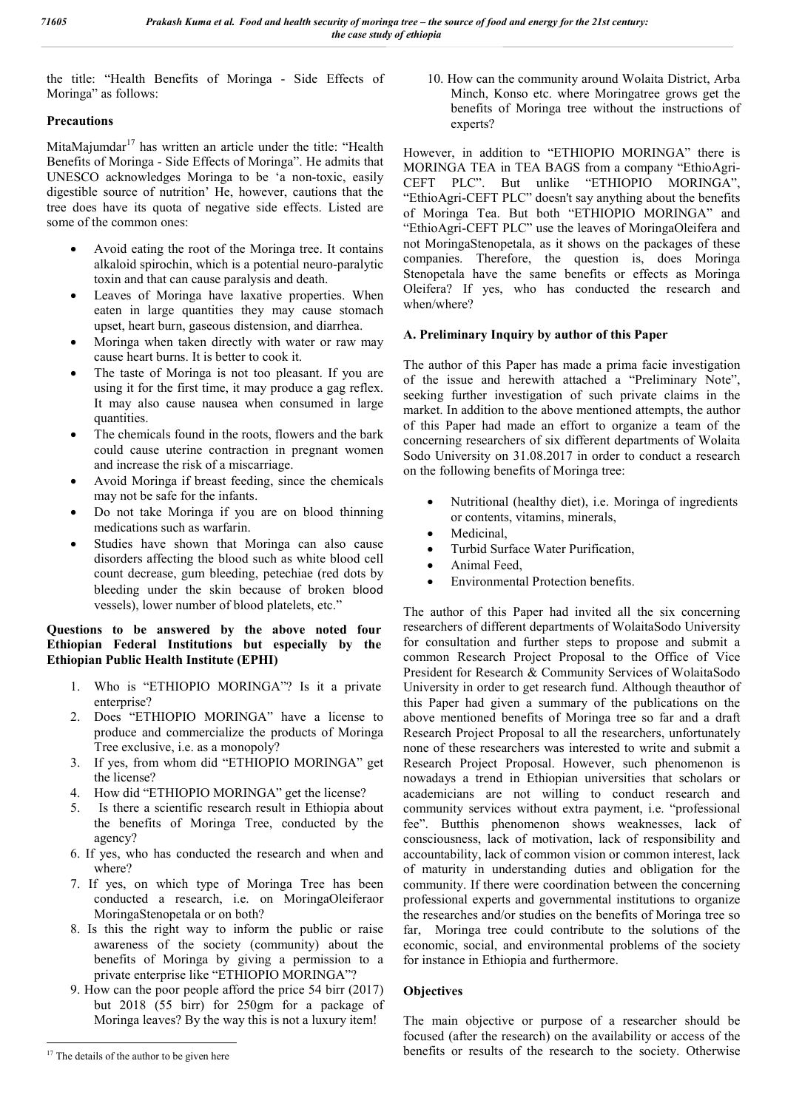the title: "Health Benefits of Moringa - Side Effects of Moringa" as follows:

## **Precautions**

MitaMajumdar $17$  has written an article under the title: "Health Benefits of Moringa - Side Effects of Moringa". He admits that UNESCO acknowledges Moringa to be 'a non-toxic, easily digestible source of nutrition' He, however, cautions that the tree does have its quota of negative side effects. Listed are some of the common ones:

- Avoid eating the root of the Moringa tree. It contains alkaloid spirochin, which is a potential neuro-paralytic toxin and that can cause paralysis and death.
- Leaves of Moringa have laxative properties. When eaten in large quantities they may cause stomach upset, heart burn, gaseous distension, and diarrhea.
- Moringa when taken directly with water or raw may cause heart burns. It is better to cook it.
- The taste of Moringa is not too pleasant. If you are using it for the first time, it may produce a gag reflex. It may also cause nausea when consumed in large quantities.
- The chemicals found in the roots, flowers and the bark could cause uterine contraction in pregnant women and increase the risk of a miscarriage.
- Avoid Moringa if breast feeding, since the chemicals may not be safe for the infants.
- Do not take Moringa if you are on blood thinning medications such as warfarin.
- Studies have shown that Moringa can also cause disorders affecting the blood such as white blood cell count decrease, gum bleeding, petechiae (red dots by bleeding under the skin because of broken blood vessels), lower number of blood platelets, etc."

#### **Questions to be answered by the above noted four Ethiopian Federal Institutions but especially by the Ethiopian Public Health Institute (EPHI)**

- 1. Who is "ETHIOPIO MORINGA"? Is it a private enterprise?
- 2. Does "ETHIOPIO MORINGA" have a license to produce and commercialize the products of Moringa Tree exclusive, i.e. as a monopoly?
- 3. If yes, from whom did "ETHIOPIO MORINGA" get the license?
- 4. How did "ETHIOPIO MORINGA" get the license?
- 5. Is there a scientific research result in Ethiopia about the benefits of Moringa Tree, conducted by the agency?
- 6. If yes, who has conducted the research and when and where?
- 7. If yes, on which type of Moringa Tree has been conducted a research, i.e. on MoringaOleiferaor MoringaStenopetala or on both?
- 8. Is this the right way to inform the public or raise awareness of the society (community) about the benefits of Moringa by giving a permission to a private enterprise like "ETHIOPIO MORINGA"?
- 9. How can the poor people afford the price 54 birr (2017) but 2018 (55 birr) for 250gm for a package of Moringa leaves? By the way this is not a luxury item!

10. How can the community around Wolaita District, Arba Minch, Konso etc. where Moringatree grows get the benefits of Moringa tree without the instructions of experts?

However, in addition to "ETHIOPIO MORINGA" there is MORINGA TEA in TEA BAGS from a company "EthioAgri-CEFT PLC". But unlike "ETHIOPIO MORINGA", "EthioAgri-CEFT PLC" doesn't say anything about the benefits of Moringa Tea. But both "ETHIOPIO MORINGA" and "EthioAgri-CEFT PLC" use the leaves of MoringaOleifera and not MoringaStenopetala, as it shows on the packages of these companies. Therefore, the question is, does Moringa Stenopetala have the same benefits or effects as Moringa Oleifera? If yes, who has conducted the research and when/where?

# **A. Preliminary Inquiry by author of this Paper**

The author of this Paper has made a prima facie investigation of the issue and herewith attached a "Preliminary Note", seeking further investigation of such private claims in the market. In addition to the above mentioned attempts, the author of this Paper had made an effort to organize a team of the concerning researchers of six different departments of Wolaita Sodo University on 31.08.2017 in order to conduct a research on the following benefits of Moringa tree:

- Nutritional (healthy diet), i.e. Moringa of ingredients or contents, vitamins, minerals,
- Medicinal,
- Turbid Surface Water Purification,
- Animal Feed,
- Environmental Protection benefits.

The author of this Paper had invited all the six concerning researchers of different departments of WolaitaSodo University for consultation and further steps to propose and submit a common Research Project Proposal to the Office of Vice President for Research & Community Services of WolaitaSodo University in order to get research fund. Although theauthor of this Paper had given a summary of the publications on the above mentioned benefits of Moringa tree so far and a draft Research Project Proposal to all the researchers, unfortunately none of these researchers was interested to write and submit a Research Project Proposal. However, such phenomenon is nowadays a trend in Ethiopian universities that scholars or academicians are not willing to conduct research and community services without extra payment, i.e. "professional fee". Butthis phenomenon shows weaknesses, lack of consciousness, lack of motivation, lack of responsibility and accountability, lack of common vision or common interest, lack of maturity in understanding duties and obligation for the community. If there were coordination between the concerning professional experts and governmental institutions to organize the researches and/or studies on the benefits of Moringa tree so far, Moringa tree could contribute to the solutions of the economic, social, and environmental problems of the society for instance in Ethiopia and furthermore.

# **Objectives**

The main objective or purpose of a researcher should be focused (after the research) on the availability or access of the benefits or results of the research to the society. Otherwise

<sup>&</sup>lt;sup>17</sup> The details of the author to be given here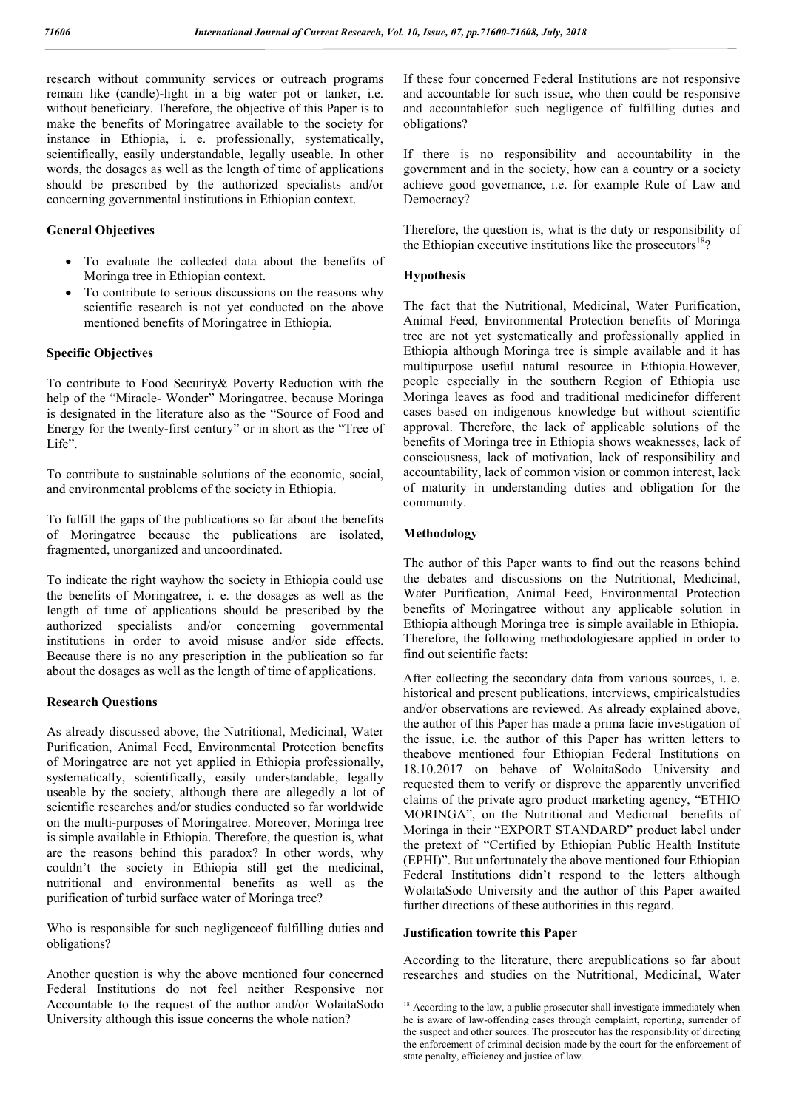research without community services or outreach programs remain like (candle)-light in a big water pot or tanker, i.e. without beneficiary. Therefore, the objective of this Paper is to make the benefits of Moringatree available to the society for instance in Ethiopia, i. e. professionally, systematically, scientifically, easily understandable, legally useable. In other words, the dosages as well as the length of time of applications should be prescribed by the authorized specialists and/or concerning governmental institutions in Ethiopian context.

### **General Objectives**

- To evaluate the collected data about the benefits of Moringa tree in Ethiopian context.
- To contribute to serious discussions on the reasons why scientific research is not yet conducted on the above mentioned benefits of Moringatree in Ethiopia.

### **Specific Objectives**

To contribute to Food Security& Poverty Reduction with the help of the "Miracle- Wonder" Moringatree, because Moringa is designated in the literature also as the "Source of Food and Energy for the twenty-first century" or in short as the "Tree of Life".

To contribute to sustainable solutions of the economic, social, and environmental problems of the society in Ethiopia.

To fulfill the gaps of the publications so far about the benefits of Moringatree because the publications are isolated, fragmented, unorganized and uncoordinated.

To indicate the right wayhow the society in Ethiopia could use the benefits of Moringatree, i. e. the dosages as well as the length of time of applications should be prescribed by the authorized specialists and/or concerning governmental institutions in order to avoid misuse and/or side effects. Because there is no any prescription in the publication so far about the dosages as well as the length of time of applications.

#### **Research Questions**

As already discussed above, the Nutritional, Medicinal, Water Purification, Animal Feed, Environmental Protection benefits of Moringatree are not yet applied in Ethiopia professionally, systematically, scientifically, easily understandable, legally useable by the society, although there are allegedly a lot of scientific researches and/or studies conducted so far worldwide on the multi-purposes of Moringatree. Moreover, Moringa tree is simple available in Ethiopia. Therefore, the question is, what are the reasons behind this paradox? In other words, why couldn't the society in Ethiopia still get the medicinal, nutritional and environmental benefits as well as the purification of turbid surface water of Moringa tree?

Who is responsible for such negligenceof fulfilling duties and obligations?

Another question is why the above mentioned four concerned Federal Institutions do not feel neither Responsive nor Accountable to the request of the author and/or WolaitaSodo University although this issue concerns the whole nation?

If these four concerned Federal Institutions are not responsive and accountable for such issue, who then could be responsive and accountablefor such negligence of fulfilling duties and obligations?

If there is no responsibility and accountability in the government and in the society, how can a country or a society achieve good governance, i.e. for example Rule of Law and Democracy?

Therefore, the question is, what is the duty or responsibility of the Ethiopian executive institutions like the prosecutors<sup>18</sup>?

#### **Hypothesis**

The fact that the Nutritional, Medicinal, Water Purification, Animal Feed, Environmental Protection benefits of Moringa tree are not yet systematically and professionally applied in Ethiopia although Moringa tree is simple available and it has multipurpose useful natural resource in Ethiopia.However, people especially in the southern Region of Ethiopia use Moringa leaves as food and traditional medicinefor different cases based on indigenous knowledge but without scientific approval. Therefore, the lack of applicable solutions of the benefits of Moringa tree in Ethiopia shows weaknesses, lack of consciousness, lack of motivation, lack of responsibility and accountability, lack of common vision or common interest, lack of maturity in understanding duties and obligation for the community.

#### **Methodology**

The author of this Paper wants to find out the reasons behind the debates and discussions on the Nutritional, Medicinal, Water Purification, Animal Feed, Environmental Protection benefits of Moringatree without any applicable solution in Ethiopia although Moringa tree is simple available in Ethiopia. Therefore, the following methodologiesare applied in order to find out scientific facts:

After collecting the secondary data from various sources, i. e. historical and present publications, interviews, empiricalstudies and/or observations are reviewed. As already explained above, the author of this Paper has made a prima facie investigation of the issue, i.e. the author of this Paper has written letters to theabove mentioned four Ethiopian Federal Institutions on 18.10.2017 on behave of WolaitaSodo University and requested them to verify or disprove the apparently unverified claims of the private agro product marketing agency, "ETHIO MORINGA", on the Nutritional and Medicinal benefits of Moringa in their "EXPORT STANDARD" product label under the pretext of "Certified by Ethiopian Public Health Institute (EPHI)". But unfortunately the above mentioned four Ethiopian Federal Institutions didn't respond to the letters although WolaitaSodo University and the author of this Paper awaited further directions of these authorities in this regard.

#### **Justification towrite this Paper**

According to the literature, there arepublications so far about researches and studies on the Nutritional, Medicinal, Water

<sup>&</sup>lt;sup>18</sup> According to the law, a public prosecutor shall investigate immediately when he is aware of law-offending cases through complaint, reporting, surrender of the suspect and other sources. The prosecutor has the responsibility of directing the enforcement of criminal decision made by the court for the enforcement of state penalty, efficiency and justice of law.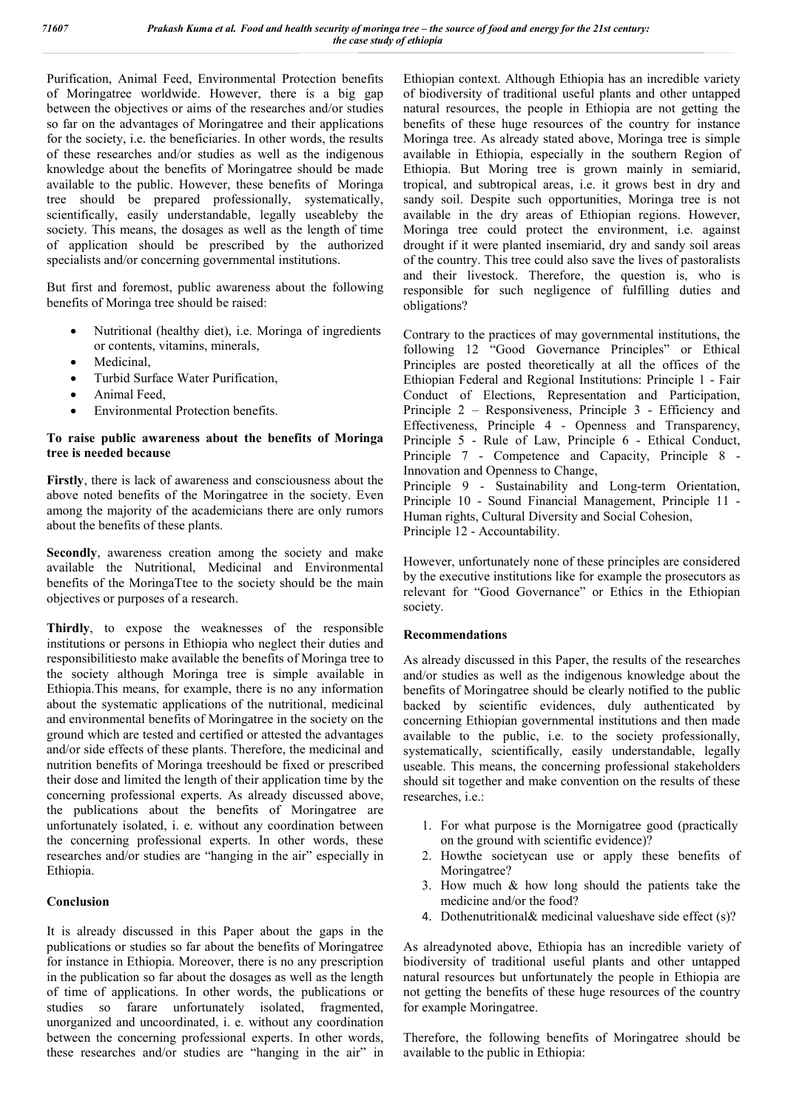Purification, Animal Feed, Environmental Protection benefits of Moringatree worldwide. However, there is a big gap between the objectives or aims of the researches and/or studies so far on the advantages of Moringatree and their applications for the society, i.e. the beneficiaries. In other words, the results of these researches and/or studies as well as the indigenous knowledge about the benefits of Moringatree should be made available to the public. However, these benefits of Moringa tree should be prepared professionally, systematically, scientifically, easily understandable, legally useableby the society. This means, the dosages as well as the length of time of application should be prescribed by the authorized specialists and/or concerning governmental institutions.

But first and foremost, public awareness about the following benefits of Moringa tree should be raised:

- Nutritional (healthy diet), i.e. Moringa of ingredients or contents, vitamins, minerals,
- Medicinal,
- Turbid Surface Water Purification,
- Animal Feed,
- Environmental Protection benefits.

#### **To raise public awareness about the benefits of Moringa tree is needed because**

**Firstly**, there is lack of awareness and consciousness about the above noted benefits of the Moringatree in the society. Even among the majority of the academicians there are only rumors about the benefits of these plants.

**Secondly**, awareness creation among the society and make available the Nutritional, Medicinal and Environmental benefits of the MoringaTtee to the society should be the main objectives or purposes of a research.

**Thirdly**, to expose the weaknesses of the responsible institutions or persons in Ethiopia who neglect their duties and responsibilitiesto make available the benefits of Moringa tree to the society although Moringa tree is simple available in Ethiopia.This means, for example, there is no any information about the systematic applications of the nutritional, medicinal and environmental benefits of Moringatree in the society on the ground which are tested and certified or attested the advantages and/or side effects of these plants. Therefore, the medicinal and nutrition benefits of Moringa treeshould be fixed or prescribed their dose and limited the length of their application time by the concerning professional experts. As already discussed above, the publications about the benefits of Moringatree are unfortunately isolated, i. e. without any coordination between the concerning professional experts. In other words, these researches and/or studies are "hanging in the air" especially in Ethiopia.

#### **Conclusion**

It is already discussed in this Paper about the gaps in the publications or studies so far about the benefits of Moringatree for instance in Ethiopia. Moreover, there is no any prescription in the publication so far about the dosages as well as the length of time of applications. In other words, the publications or studies so farare unfortunately isolated, fragmented, unorganized and uncoordinated, i. e. without any coordination between the concerning professional experts. In other words, these researches and/or studies are "hanging in the air" in

Ethiopian context. Although Ethiopia has an incredible variety of biodiversity of traditional useful plants and other untapped natural resources, the people in Ethiopia are not getting the benefits of these huge resources of the country for instance Moringa tree. As already stated above, Moringa tree is simple available in Ethiopia, especially in the southern Region of Ethiopia. But Moring tree is grown mainly in semiarid, tropical, and subtropical areas, i.e. it grows best in dry and sandy soil. Despite such opportunities, Moringa tree is not available in the dry areas of Ethiopian regions. However, Moringa tree could protect the environment, i.e. against drought if it were planted insemiarid, dry and sandy soil areas of the country. This tree could also save the lives of pastoralists and their livestock. Therefore, the question is, who is responsible for such negligence of fulfilling duties and obligations?

Contrary to the practices of may governmental institutions, the following 12 "Good Governance Principles" or Ethical Principles are posted theoretically at all the offices of the Ethiopian Federal and Regional Institutions: Principle 1 - Fair Conduct of Elections, Representation and Participation, Principle 2 – Responsiveness, Principle 3 - Efficiency and Effectiveness, Principle 4 - Openness and Transparency, Principle 5 - Rule of Law, Principle 6 - Ethical Conduct, Principle 7 - Competence and Capacity, Principle 8 - Innovation and Openness to Change,

Principle 9 - Sustainability and Long-term Orientation, Principle 10 - Sound Financial Management, Principle 11 - Human rights, Cultural Diversity and Social Cohesion, Principle 12 - Accountability.

However, unfortunately none of these principles are considered by the executive institutions like for example the prosecutors as relevant for "Good Governance" or Ethics in the Ethiopian society.

#### **Recommendations**

As already discussed in this Paper, the results of the researches and/or studies as well as the indigenous knowledge about the benefits of Moringatree should be clearly notified to the public backed by scientific evidences, duly authenticated by concerning Ethiopian governmental institutions and then made available to the public, i.e. to the society professionally, systematically, scientifically, easily understandable, legally useable. This means, the concerning professional stakeholders should sit together and make convention on the results of these researches, i.e.:

- 1. For what purpose is the Mornigatree good (practically on the ground with scientific evidence)?
- 2. Howthe societycan use or apply these benefits of Moringatree?
- 3. How much & how long should the patients take the medicine and/or the food?
- 4. Dothenutritional& medicinal valueshave side effect (s)?

As alreadynoted above, Ethiopia has an incredible variety of biodiversity of traditional useful plants and other untapped natural resources but unfortunately the people in Ethiopia are not getting the benefits of these huge resources of the country for example Moringatree.

Therefore, the following benefits of Moringatree should be available to the public in Ethiopia: